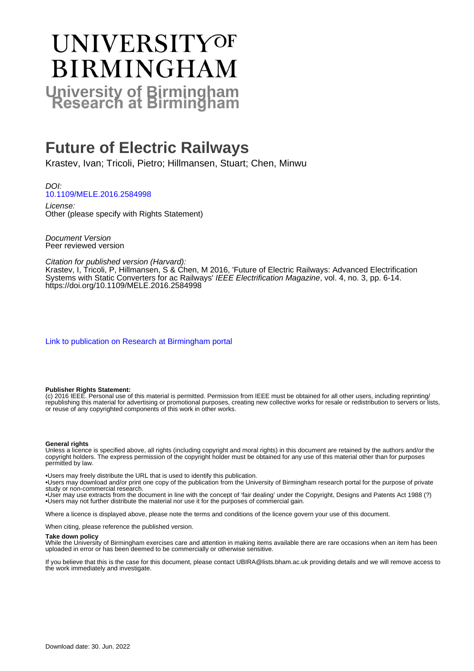# UNIVERSITYOF **BIRMINGHAM University of Birmingham**

# **Future of Electric Railways**

Krastev, Ivan; Tricoli, Pietro; Hillmansen, Stuart; Chen, Minwu

DOI: [10.1109/MELE.2016.2584998](https://doi.org/10.1109/MELE.2016.2584998)

License: Other (please specify with Rights Statement)

Document Version Peer reviewed version

Citation for published version (Harvard):

Krastev, I, Tricoli, P, Hillmansen, S & Chen, M 2016, 'Future of Electric Railways: Advanced Electrification Systems with Static Converters for ac Railways' IEEE Electrification Magazine, vol. 4, no. 3, pp. 6-14. <https://doi.org/10.1109/MELE.2016.2584998>

[Link to publication on Research at Birmingham portal](https://birmingham.elsevierpure.com/en/publications/fc6afd20-0f6c-44dc-b37f-ea9973bdfa15)

#### **Publisher Rights Statement:**

(c) 2016 IEEE. Personal use of this material is permitted. Permission from IEEE must be obtained for all other users, including reprinting/ republishing this material for advertising or promotional purposes, creating new collective works for resale or redistribution to servers or lists, or reuse of any copyrighted components of this work in other works.

#### **General rights**

Unless a licence is specified above, all rights (including copyright and moral rights) in this document are retained by the authors and/or the copyright holders. The express permission of the copyright holder must be obtained for any use of this material other than for purposes permitted by law.

• Users may freely distribute the URL that is used to identify this publication.

• Users may download and/or print one copy of the publication from the University of Birmingham research portal for the purpose of private study or non-commercial research.

• User may use extracts from the document in line with the concept of 'fair dealing' under the Copyright, Designs and Patents Act 1988 (?) • Users may not further distribute the material nor use it for the purposes of commercial gain.

Where a licence is displayed above, please note the terms and conditions of the licence govern your use of this document.

When citing, please reference the published version.

#### **Take down policy**

While the University of Birmingham exercises care and attention in making items available there are rare occasions when an item has been uploaded in error or has been deemed to be commercially or otherwise sensitive.

If you believe that this is the case for this document, please contact UBIRA@lists.bham.ac.uk providing details and we will remove access to the work immediately and investigate.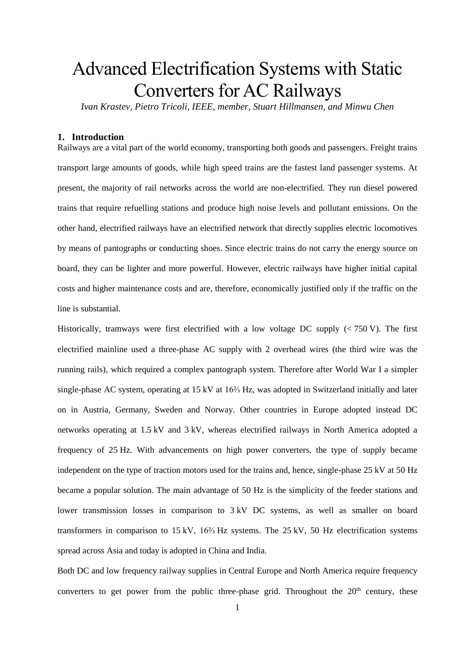# Advanced Electrification Systems with Static Converters for AC Railways

*Ivan Krastev, Pietro Tricoli, IEEE, member, Stuart Hillmansen, and Minwu Chen*

## **1. Introduction**

Railways are a vital part of the world economy, transporting both goods and passengers. Freight trains transport large amounts of goods, while high speed trains are the fastest land passenger systems. At present, the majority of rail networks across the world are non-electrified. They run diesel powered trains that require refuelling stations and produce high noise levels and pollutant emissions. On the other hand, electrified railways have an electrified network that directly supplies electric locomotives by means of pantographs or conducting shoes. Since electric trains do not carry the energy source on board, they can be lighter and more powerful. However, electric railways have higher initial capital costs and higher maintenance costs and are, therefore, economically justified only if the traffic on the line is substantial.

Historically, tramways were first electrified with a low voltage DC supply  $( $750 \text{ V}$ )$ . The first electrified mainline used a three-phase AC supply with 2 overhead wires (the third wire was the running rails), which required a complex pantograph system. Therefore after World War I a simpler single-phase AC system, operating at 15 kV at 16⅔ Hz, was adopted in Switzerland initially and later on in Austria, Germany, Sweden and Norway. Other countries in Europe adopted instead DC networks operating at 1.5 kV and 3 kV, whereas electrified railways in North America adopted a frequency of 25 Hz. With advancements on high power converters, the type of supply became independent on the type of traction motors used for the trains and, hence, single-phase 25 kV at 50 Hz became a popular solution. The main advantage of 50 Hz is the simplicity of the feeder stations and lower transmission losses in comparison to 3 kV DC systems, as well as smaller on board transformers in comparison to 15 kV, 16⅔ Hz systems. The 25 kV, 50 Hz electrification systems spread across Asia and today is adopted in China and India.

Both DC and low frequency railway supplies in Central Europe and North America require frequency converters to get power from the public three-phase grid. Throughout the  $20<sup>th</sup>$  century, these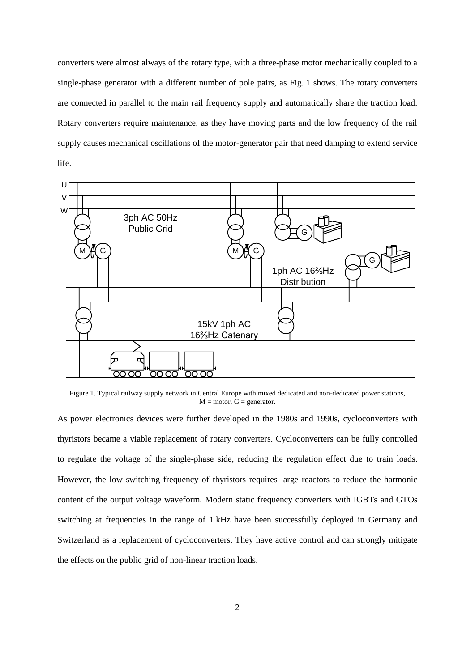converters were almost always of the rotary type, with a three-phase motor mechanically coupled to a single-phase generator with a different number of pole pairs, as Fig. 1 shows. The rotary converters are connected in parallel to the main rail frequency supply and automatically share the traction load. Rotary converters require maintenance, as they have moving parts and the low frequency of the rail supply causes mechanical oscillations of the motor-generator pair that need damping to extend service life.



Figure 1. Typical railway supply network in Central Europe with mixed dedicated and non-dedicated power stations,  $M = motor, G = generator.$ 

As power electronics devices were further developed in the 1980s and 1990s, cycloconverters with thyristors became a viable replacement of rotary converters. Cycloconverters can be fully controlled to regulate the voltage of the single-phase side, reducing the regulation effect due to train loads. However, the low switching frequency of thyristors requires large reactors to reduce the harmonic content of the output voltage waveform. Modern static frequency converters with IGBTs and GTOs switching at frequencies in the range of 1 kHz have been successfully deployed in Germany and Switzerland as a replacement of cycloconverters. They have active control and can strongly mitigate the effects on the public grid of non-linear traction loads.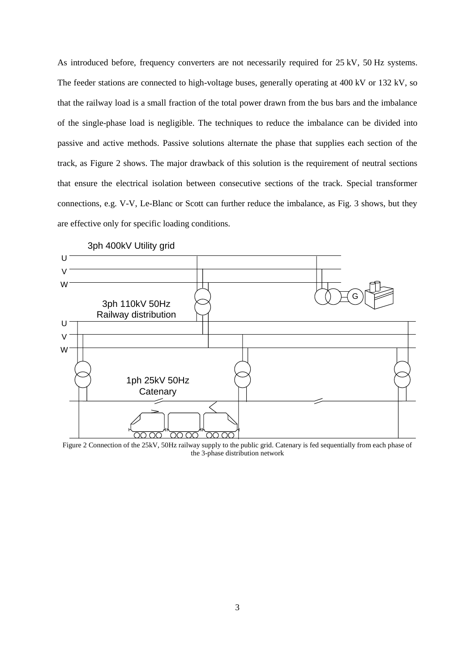As introduced before, frequency converters are not necessarily required for 25 kV, 50 Hz systems. The feeder stations are connected to high-voltage buses, generally operating at 400 kV or 132 kV, so that the railway load is a small fraction of the total power drawn from the bus bars and the imbalance of the single-phase load is negligible. The techniques to reduce the imbalance can be divided into passive and active methods. Passive solutions alternate the phase that supplies each section of the track, as [Figure 2](#page-3-0) shows. The major drawback of this solution is the requirement of neutral sections that ensure the electrical isolation between consecutive sections of the track. Special transformer connections, e.g. V-V, Le-Blanc or Scott can further reduce the imbalance, as Fig. 3 shows, but they are effective only for specific loading conditions.



3ph 400kV Utility grid

<span id="page-3-0"></span>Figure 2 Connection of the 25kV, 50Hz railway supply to the public grid. Catenary is fed sequentially from each phase of the 3-phase distribution network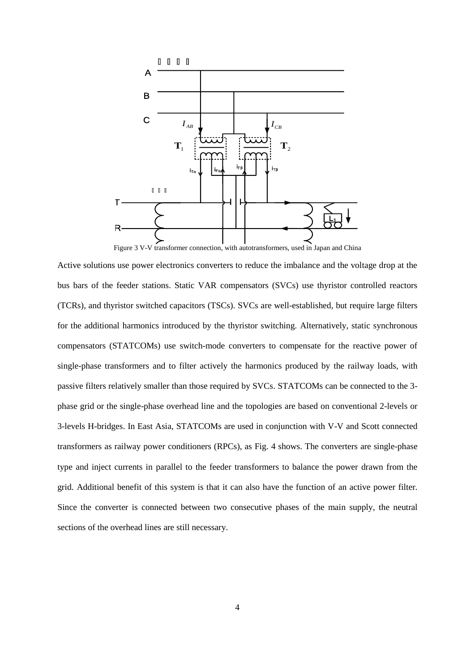

F Figure 3 V-V transformer connection, with autotransformers, used in Japan and China

Active solutions use power electronics converters to reduce the imbalance and the voltage drop at the bus bars of the feeder stations. Static VAR compensators (SVCs) use thyristor controlled reactors (TCRs), and thyristor switched capacitors (TSCs). SVCs are well-established, but require large filters for the additional harmonics introduced by the thyristor switching. Alternatively, static synchronous compensators (STATCOMs) use switch-mode converters to compensate for the reactive power of single-phase transformers and to filter actively the harmonics produced by the railway loads, with passive filters relatively smaller than those required by SVCs. STATCOMs can be connected to the 3 phase grid or the single-phase overhead line and the topologies are based on conventional 2-levels or 3-levels H-bridges. In East Asia, STATCOMs are used in conjunction with V-V and Scott connected transformers as railway power conditioners (RPCs), as Fig. 4 shows. The converters are single-phase type and inject currents in parallel to the feeder transformers to balance the power drawn from the grid. Additional benefit of this system is that it can also have the function of an active power filter. Since the converter is connected between two consecutive phases of the main supply, the neutral sections of the overhead lines are still necessary.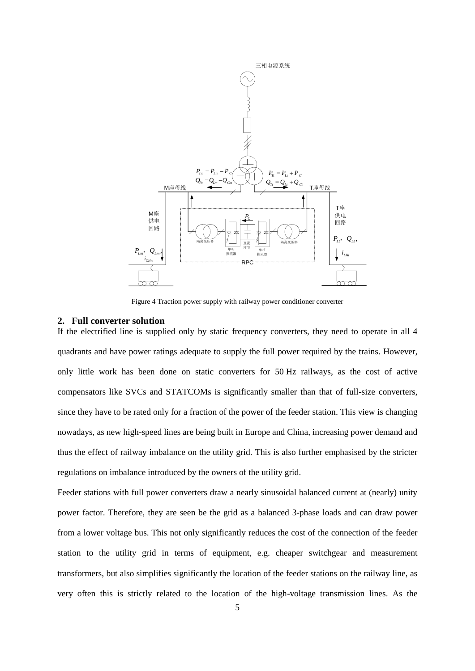

Figure 4 Traction power supply with railway power conditioner converter

#### **2. Full converter solution**

If the electrified line is supplied only by static frequency converters, they need to operate in all 4 quadrants and have power ratings adequate to supply the full power required by the trains. However, only little work has been done on static converters for 50 Hz railways, as the cost of active compensators like SVCs and STATCOMs is significantly smaller than that of full-size converters, since they have to be rated only for a fraction of the power of the feeder station. This view is changing nowadays, as new high-speed lines are being built in Europe and China, increasing power demand and thus the effect of railway imbalance on the utility grid. This is also further emphasised by the stricter regulations on imbalance introduced by the owners of the utility grid.

Feeder stations with full power converters draw a nearly sinusoidal balanced current at (nearly) unity power factor. Therefore, they are seen be the grid as a balanced 3-phase loads and can draw power from a lower voltage bus. This not only significantly reduces the cost of the connection of the feeder station to the utility grid in terms of equipment, e.g. cheaper switchgear and measurement transformers, but also simplifies significantly the location of the feeder stations on the railway line, as very often this is strictly related to the location of the high-voltage transmission lines. As the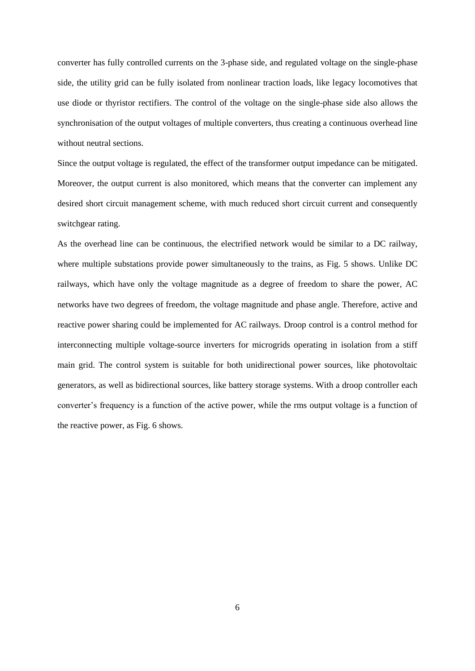converter has fully controlled currents on the 3-phase side, and regulated voltage on the single-phase side, the utility grid can be fully isolated from nonlinear traction loads, like legacy locomotives that use diode or thyristor rectifiers. The control of the voltage on the single-phase side also allows the synchronisation of the output voltages of multiple converters, thus creating a continuous overhead line without neutral sections.

Since the output voltage is regulated, the effect of the transformer output impedance can be mitigated. Moreover, the output current is also monitored, which means that the converter can implement any desired short circuit management scheme, with much reduced short circuit current and consequently switchgear rating.

As the overhead line can be continuous, the electrified network would be similar to a DC railway, where multiple substations provide power simultaneously to the trains, as Fig. 5 shows. Unlike DC railways, which have only the voltage magnitude as a degree of freedom to share the power, AC networks have two degrees of freedom, the voltage magnitude and phase angle. Therefore, active and reactive power sharing could be implemented for AC railways. Droop control is a control method for interconnecting multiple voltage-source inverters for microgrids operating in isolation from a stiff main grid. The control system is suitable for both unidirectional power sources, like photovoltaic generators, as well as bidirectional sources, like battery storage systems. With a droop controller each converter's frequency is a function of the active power, while the rms output voltage is a function of the reactive power, as Fig. 6 shows.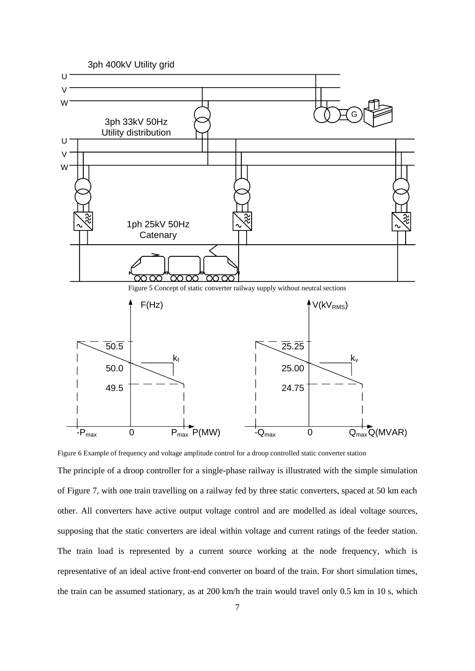

Figure 6 Example of frequency and voltage amplitude control for a droop controlled static converter station

The principle of a droop controller for a single-phase railway is illustrated with the simple simulation of [Figure 7,](#page-8-0) with one train travelling on a railway fed by three static converters, spaced at 50 km each other. All converters have active output voltage control and are modelled as ideal voltage sources, supposing that the static converters are ideal within voltage and current ratings of the feeder station. The train load is represented by a current source working at the node frequency, which is representative of an ideal active front-end converter on board of the train. For short simulation times, the train can be assumed stationary, as at 200 km/h the train would travel only 0.5 km in 10 s, which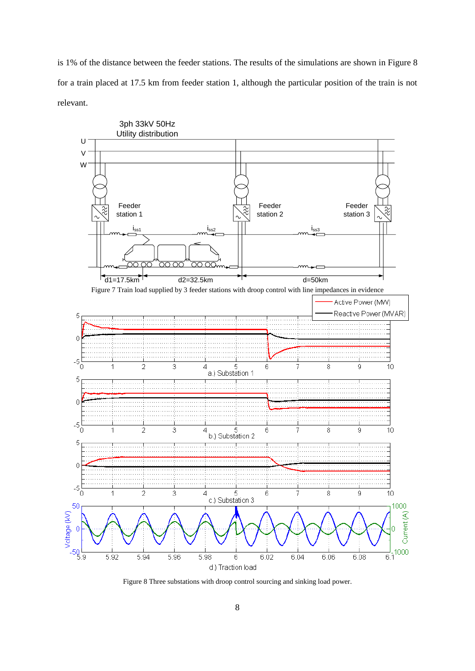is 1% of the distance between the feeder stations. The results of the simulations are shown in [Figure 8](#page-8-1) for a train placed at 17.5 km from feeder station 1, although the particular position of the train is not relevant.

<span id="page-8-0"></span>

<span id="page-8-1"></span>Figure 8 Three substations with droop control sourcing and sinking load power.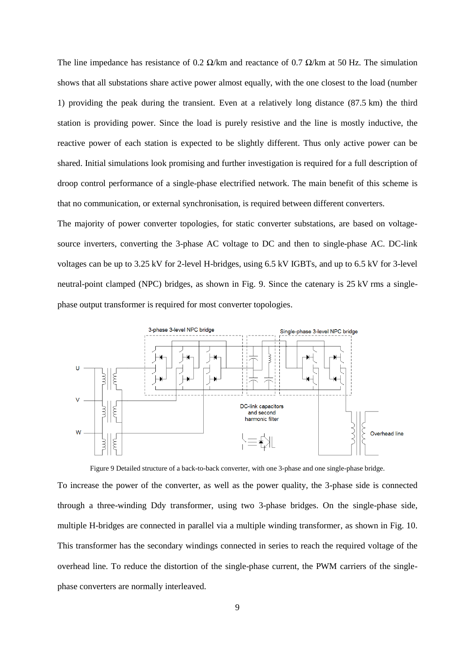The line impedance has resistance of 0.2  $\Omega$ /km and reactance of 0.7  $\Omega$ /km at 50 Hz. The simulation shows that all substations share active power almost equally, with the one closest to the load (number 1) providing the peak during the transient. Even at a relatively long distance (87.5 km) the third station is providing power. Since the load is purely resistive and the line is mostly inductive, the reactive power of each station is expected to be slightly different. Thus only active power can be shared. Initial simulations look promising and further investigation is required for a full description of droop control performance of a single-phase electrified network. The main benefit of this scheme is that no communication, or external synchronisation, is required between different converters.

The majority of power converter topologies, for static converter substations, are based on voltagesource inverters, converting the 3-phase AC voltage to DC and then to single-phase AC. DC-link voltages can be up to 3.25 kV for 2-level H-bridges, using 6.5 kV IGBTs, and up to 6.5 kV for 3-level neutral-point clamped (NPC) bridges, as shown in Fig. 9. Since the catenary is 25 kV rms a singlephase output transformer is required for most converter topologies.



Figure 9 Detailed structure of a back-to-back converter, with one 3-phase and one single-phase bridge.

To increase the power of the converter, as well as the power quality, the 3-phase side is connected through a three-winding Ddy transformer, using two 3-phase bridges. On the single-phase side, multiple H-bridges are connected in parallel via a multiple winding transformer, as shown in Fig. 10. This transformer has the secondary windings connected in series to reach the required voltage of the overhead line. To reduce the distortion of the single-phase current, the PWM carriers of the singlephase converters are normally interleaved.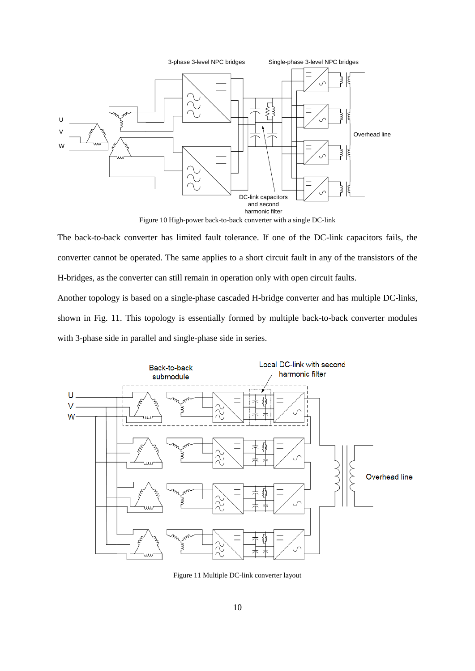

Figure 10 High-power back-to-back converter with a single DC-link

The back-to-back converter has limited fault tolerance. If one of the DC-link capacitors fails, the converter cannot be operated. The same applies to a short circuit fault in any of the transistors of the H-bridges, as the converter can still remain in operation only with open circuit faults.

Another topology is based on a single-phase cascaded H-bridge converter and has multiple DC-links, shown in Fig. 11. This topology is essentially formed by multiple back-to-back converter modules with 3-phase side in parallel and single-phase side in series.



Figure 11 Multiple DC-link converter layout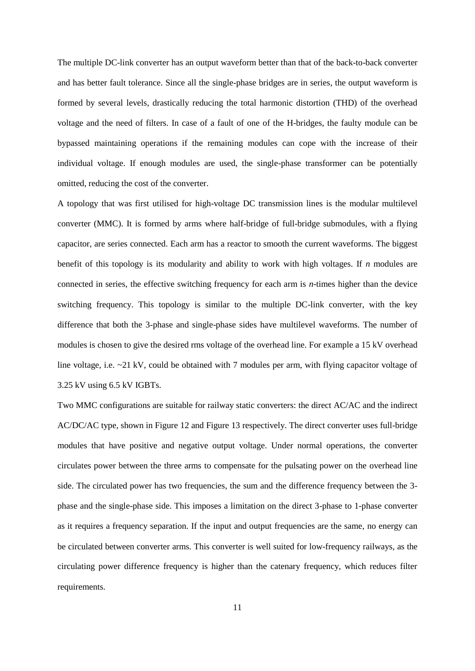The multiple DC-link converter has an output waveform better than that of the back-to-back converter and has better fault tolerance. Since all the single-phase bridges are in series, the output waveform is formed by several levels, drastically reducing the total harmonic distortion (THD) of the overhead voltage and the need of filters. In case of a fault of one of the H-bridges, the faulty module can be bypassed maintaining operations if the remaining modules can cope with the increase of their individual voltage. If enough modules are used, the single-phase transformer can be potentially omitted, reducing the cost of the converter.

A topology that was first utilised for high-voltage DC transmission lines is the modular multilevel converter (MMC). It is formed by arms where half-bridge of full-bridge submodules, with a flying capacitor, are series connected. Each arm has a reactor to smooth the current waveforms. The biggest benefit of this topology is its modularity and ability to work with high voltages. If *n* modules are connected in series, the effective switching frequency for each arm is *n*-times higher than the device switching frequency. This topology is similar to the multiple DC-link converter, with the key difference that both the 3-phase and single-phase sides have multilevel waveforms. The number of modules is chosen to give the desired rms voltage of the overhead line. For example a 15 kV overhead line voltage, i.e. ~21 kV, could be obtained with 7 modules per arm, with flying capacitor voltage of 3.25 kV using 6.5 kV IGBTs.

Two MMC configurations are suitable for railway static converters: the direct AC/AC and the indirect AC/DC/AC type, shown in [Figure 12](#page-12-0) and [Figure 13](#page-12-1) respectively. The direct converter uses full-bridge modules that have positive and negative output voltage. Under normal operations, the converter circulates power between the three arms to compensate for the pulsating power on the overhead line side. The circulated power has two frequencies, the sum and the difference frequency between the 3 phase and the single-phase side. This imposes a limitation on the direct 3-phase to 1-phase converter as it requires a frequency separation. If the input and output frequencies are the same, no energy can be circulated between converter arms. This converter is well suited for low-frequency railways, as the circulating power difference frequency is higher than the catenary frequency, which reduces filter requirements.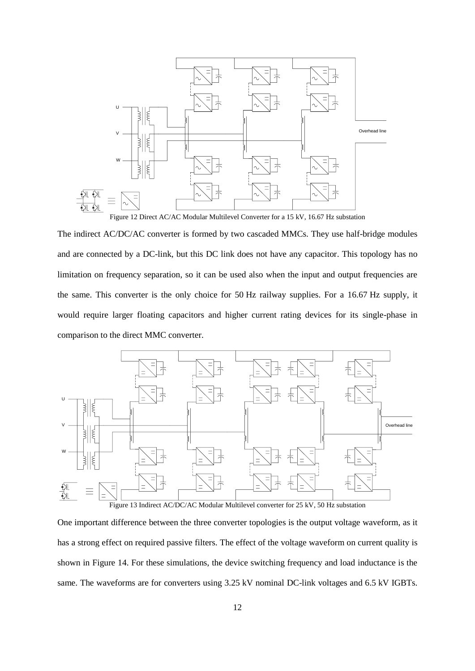

<span id="page-12-0"></span>The indirect AC/DC/AC converter is formed by two cascaded MMCs. They use half-bridge modules and are connected by a DC-link, but this DC link does not have any capacitor. This topology has no limitation on frequency separation, so it can be used also when the input and output frequencies are the same. This converter is the only choice for 50 Hz railway supplies. For a 16.67 Hz supply, it would require larger floating capacitors and higher current rating devices for its single-phase in comparison to the direct MMC converter.



<span id="page-12-1"></span>One important difference between the three converter topologies is the output voltage waveform, as it has a strong effect on required passive filters. The effect of the voltage waveform on current quality is shown in [Figure 14.](#page-13-0) For these simulations, the device switching frequency and load inductance is the same. The waveforms are for converters using 3.25 kV nominal DC-link voltages and 6.5 kV IGBTs.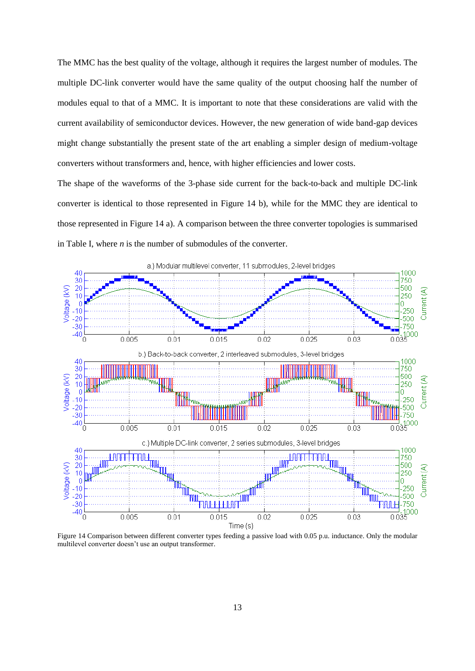The MMC has the best quality of the voltage, although it requires the largest number of modules. The multiple DC-link converter would have the same quality of the output choosing half the number of modules equal to that of a MMC. It is important to note that these considerations are valid with the current availability of semiconductor devices. However, the new generation of wide band-gap devices might change substantially the present state of the art enabling a simpler design of medium-voltage converters without transformers and, hence, with higher efficiencies and lower costs.

The shape of the waveforms of the 3-phase side current for the back-to-back and multiple DC-link converter is identical to those represented in [Figure 14](#page-13-0) b), while for the MMC they are identical to those represented i[n Figure 14](#page-13-0) a). A comparison between the three converter topologies is summarised in [Table I,](#page-14-0) where *n* is the number of submodules of the converter.



<span id="page-13-0"></span>Figure 14 Comparison between different converter types feeding a passive load with 0.05 p.u. inductance. Only the modular multilevel converter doesn't use an output transformer.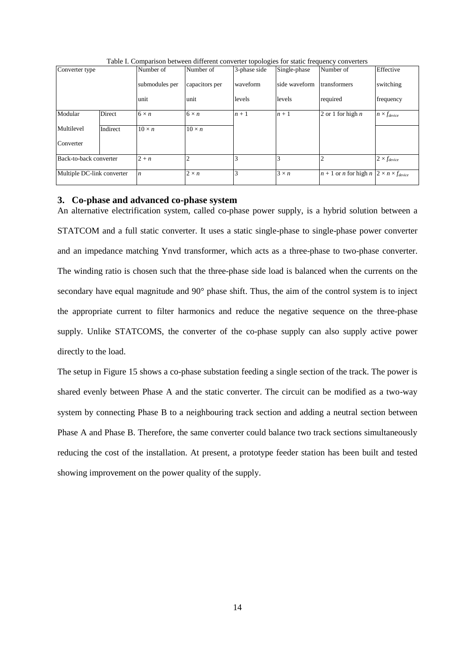<span id="page-14-0"></span>

| Converter type             |          | Number of        | Number of      | 3-phase side | Single-phase  | Number of                                                        | Effective             |
|----------------------------|----------|------------------|----------------|--------------|---------------|------------------------------------------------------------------|-----------------------|
|                            |          | submodules per   | capacitors per | waveform     | side waveform | transformers                                                     | switching             |
|                            |          | unit             | unit           | levels       | levels        | required                                                         | frequency             |
| Modular                    | Direct   | $6 \times n$     | $6 \times n$   | $n+1$        | $n+1$         | 2 or 1 for high $n$                                              | $n \times f_{device}$ |
| Multilevel                 | Indirect | $10 \times n$    | $10 \times n$  |              |               |                                                                  |                       |
| Converter                  |          |                  |                |              |               |                                                                  |                       |
| Back-to-back converter     |          | $2 + n$          |                |              |               |                                                                  | $2 \times f_{device}$ |
| Multiple DC-link converter |          | $\boldsymbol{n}$ | $2 \times n$   |              | $3 \times n$  | $n+1$ or <i>n</i> for high $n \mid 2 \times n \times f_{device}$ |                       |

Table I. Comparison between different converter topologies for static frequency converters

#### **3. Co-phase and advanced co-phase system**

An alternative electrification system, called co-phase power supply, is a hybrid solution between a STATCOM and a full static converter. It uses a static single-phase to single-phase power converter and an impedance matching Ynvd transformer, which acts as a three-phase to two-phase converter. The winding ratio is chosen such that the three-phase side load is balanced when the currents on the secondary have equal magnitude and 90° phase shift. Thus, the aim of the control system is to inject the appropriate current to filter harmonics and reduce the negative sequence on the three-phase supply. Unlike STATCOMS, the converter of the co-phase supply can also supply active power directly to the load.

The setup in [Figure 15](#page-15-0) shows a co-phase substation feeding a single section of the track. The power is shared evenly between Phase A and the static converter. The circuit can be modified as a two-way system by connecting Phase B to a neighbouring track section and adding a neutral section between Phase A and Phase B. Therefore, the same converter could balance two track sections simultaneously reducing the cost of the installation. At present, a prototype feeder station has been built and tested showing improvement on the power quality of the supply.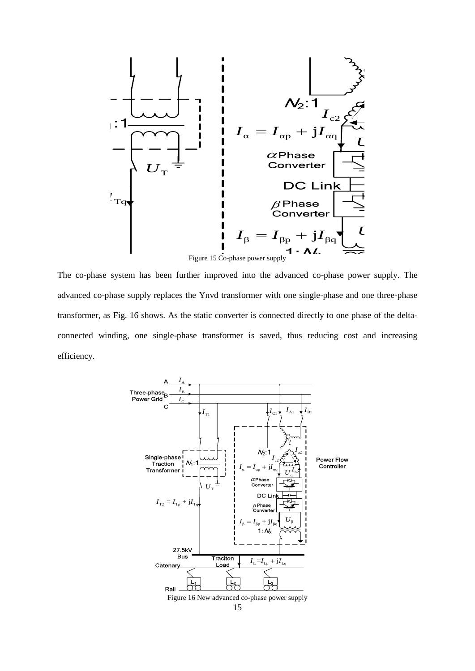

<span id="page-15-0"></span>transf 27.5kV<br>27.5kV advanced co-phase supply replaces the Ynvd transformer with one single-phase and one three-phase Eq. 16 shows. As the static converter is connected directly to one phase inding, one single-phase transformer is saved, thus reducing cost and The co-phase system has been further improved into the advanced co-phase power supply. The transformer, as Fig. 16 shows. As the static converter is connected directly to one phase of the deltaconnected winding, one single-phase transformer is saved, thus reducing cost and increasing efficiency.

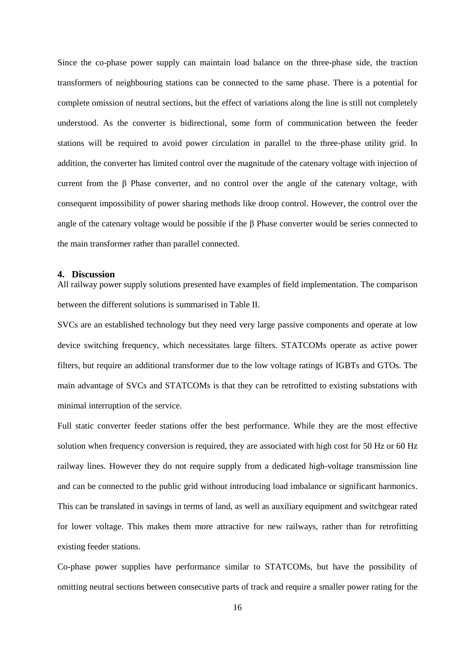Since the co-phase power supply can maintain load balance on the three-phase side, the traction transformers of neighbouring stations can be connected to the same phase. There is a potential for complete omission of neutral sections, but the effect of variations along the line is still not completely understood. As the converter is bidirectional, some form of communication between the feeder stations will be required to avoid power circulation in parallel to the three-phase utility grid. In addition, the converter has limited control over the magnitude of the catenary voltage with injection of current from the β Phase converter, and no control over the angle of the catenary voltage, with consequent impossibility of power sharing methods like droop control. However, the control over the angle of the catenary voltage would be possible if the β Phase converter would be series connected to the main transformer rather than parallel connected.

### **4. Discussion**

All railway power supply solutions presented have examples of field implementation. The comparison between the different solutions is summarised in Table II.

SVCs are an established technology but they need very large passive components and operate at low device switching frequency, which necessitates large filters. STATCOMs operate as active power filters, but require an additional transformer due to the low voltage ratings of IGBTs and GTOs. The main advantage of SVCs and STATCOMs is that they can be retrofitted to existing substations with minimal interruption of the service.

Full static converter feeder stations offer the best performance. While they are the most effective solution when frequency conversion is required, they are associated with high cost for 50 Hz or 60 Hz railway lines. However they do not require supply from a dedicated high-voltage transmission line and can be connected to the public grid without introducing load imbalance or significant harmonics. This can be translated in savings in terms of land, as well as auxiliary equipment and switchgear rated for lower voltage. This makes them more attractive for new railways, rather than for retrofitting existing feeder stations.

Co-phase power supplies have performance similar to STATCOMs, but have the possibility of omitting neutral sections between consecutive parts of track and require a smaller power rating for the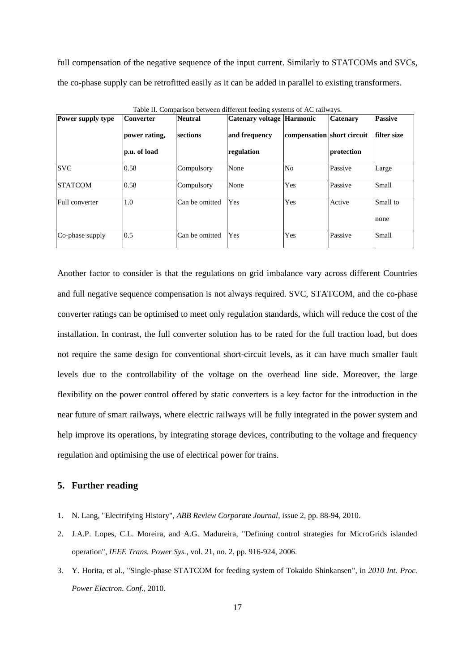full compensation of the negative sequence of the input current. Similarly to STATCOMs and SVCs, the co-phase supply can be retrofitted easily as it can be added in parallel to existing transformers.

| Power supply type | <b>Converter</b> | <b>Neutral</b> | Catenary voltage Harmonic |                            | <b>Catenary</b> | <b>Passive</b> |
|-------------------|------------------|----------------|---------------------------|----------------------------|-----------------|----------------|
|                   | power rating,    | sections       | and frequency             | compensation short circuit |                 | filter size    |
|                   | p.u. of load     |                | regulation                |                            | protection      |                |
| <b>SVC</b>        | 0.58             | Compulsory     | None                      | No                         | Passive         | Large          |
| <b>STATCOM</b>    | 0.58             | Compulsory     | None                      | Yes                        | Passive         | Small          |
| Full converter    | 1.0              | Can be omitted | Yes                       | Yes                        | Active          | Small to       |
|                   |                  |                |                           |                            |                 | none           |
| Co-phase supply   | 0.5              | Can be omitted | Yes                       | Yes                        | Passive         | <b>Small</b>   |

Table II. Comparison between different feeding systems of AC railways.

Another factor to consider is that the regulations on grid imbalance vary across different Countries and full negative sequence compensation is not always required. SVC, STATCOM, and the co-phase converter ratings can be optimised to meet only regulation standards, which will reduce the cost of the installation. In contrast, the full converter solution has to be rated for the full traction load, but does not require the same design for conventional short-circuit levels, as it can have much smaller fault levels due to the controllability of the voltage on the overhead line side. Moreover, the large flexibility on the power control offered by static converters is a key factor for the introduction in the near future of smart railways, where electric railways will be fully integrated in the power system and help improve its operations, by integrating storage devices, contributing to the voltage and frequency regulation and optimising the use of electrical power for trains.

## **5. Further reading**

- 1. N. Lang, "Electrifying History", *ABB Review Corporate Journal*, issue 2, pp. 88-94, 2010.
- 2. J.A.P. Lopes, C.L. Moreira, and A.G. Madureira, "Defining control strategies for MicroGrids islanded operation", *IEEE Trans. Power Sys.*, vol. 21, no. 2, pp. 916-924, 2006.
- 3. Y. Horita, et al., "Single-phase STATCOM for feeding system of Tokaido Shinkansen", in *2010 Int. Proc. Power Electron. Conf.*, 2010.